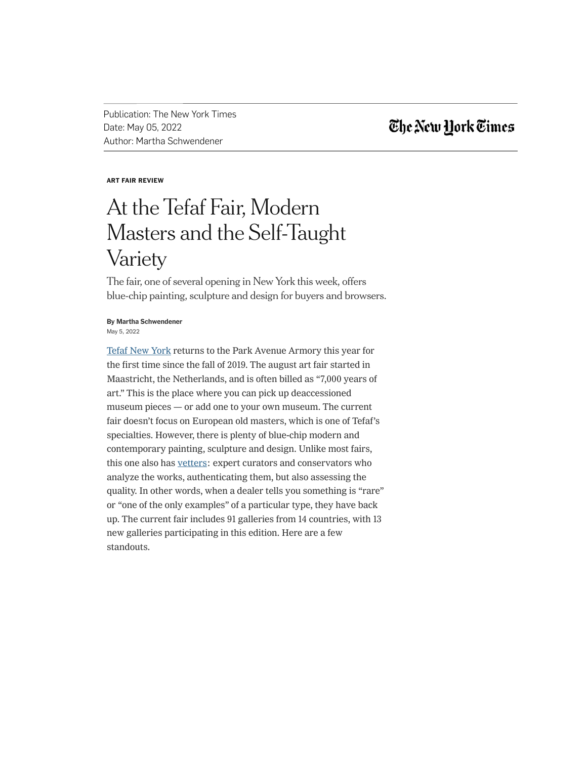Publication: The New York Times Date: May 05, 2022 Author: Martha Schwendener

## The New York Times

### ART FAIR REVIEW

# At the Tefaf Fair, Modern Masters and the Self-Taught Variety

The fair, one of several opening in New York this week, offers blue-chip painting, sculpture and design for buyers and browsers.

### May 5, 2022 By Martha Schwendener

Tefaf New York returns to the Park Avenue Armory this year for the first time since the fall of 2019. The august art fair started in Maastricht, the Netherlands, and is often billed as "7,000 years of art." This is the place where you can pick up deaccessioned museum pieces — or add one to your own museum. The current fair doesn't focus on European old masters, which is one of Tefaf's specialties. However, there is plenty of blue-chip modern and contemporary painting, sculpture and design. Unlike most fairs, this one also has vetters: expert curators and conservators who analyze the works, authenticating them, but also assessing the quality. In other words, when a dealer tells you something is "rare" or "one of the only examples" of a particular type, they have back up. The current fair includes 91 galleries from 14 countries, with 13 new galleries participating in this edition. Here are a few standouts.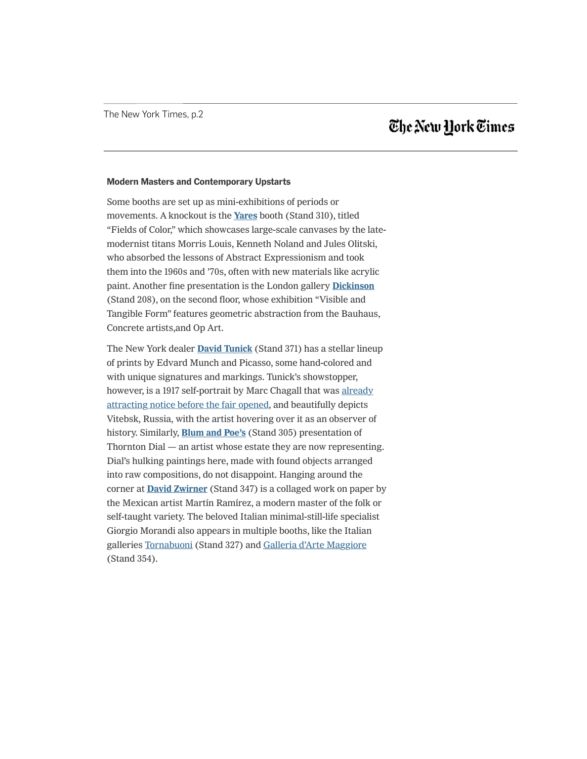## The New Hork Times

#### Modern Masters and Contemporary Upstarts

Some booths are set up as mini-exhibitions of periods or movements. A knockout is the Yares booth (Stand 310), titled "Fields of Color," which showcases large-scale canvases by the latemodernist titans Morris Louis, Kenneth Noland and Jules Olitski, who absorbed the lessons of Abstract Expressionism and took them into the 1960s and '70s, often with new materials like acrylic paint. Another fine presentation is the London gallery Dickinson (Stand 208), on the second floor, whose exhibition "Visible and Tangible Form" features geometric abstraction from the Bauhaus, Concrete artists,and Op Art.

 $\overline{\phantom{a}}$  , when a dealer words, when a dealer tells  $\overline{\phantom{a}}$  rare tells  $\overline{\phantom{a}}$  rare  $\overline{\phantom{a}}$  rare  $\overline{\phantom{a}}$ 

new galleries participating in this edition. Here are a few

The New York dealer **David Tunick** (Stand 371) has a stellar lineup of prints by Edvard Munch and Picasso, some hand-colored and with unique signatures and markings. Tunick's showstopper, however, is a 1917 self-portrait by Marc Chagall that was already attracting notice before the fair opened, and beautifully depicts Vitebsk, Russia, with the artist hovering over it as an observer of history. Similarly, **Blum and Poe's** (Stand 305) presentation of Thornton Dial — an artist whose estate they are now representing. Dial's hulking paintings here, made with found objects arranged into raw compositions, do not disappoint. Hanging around the corner at **David Zwirner** (Stand 347) is a collaged work on paper by the Mexican artist Martín Ramírez, a modern master of the folk or self-taught variety. The beloved Italian minimal-still-life specialist Giorgio Morandi also appears in multiple booths, like the Italian galleries Tornabuoni (Stand 327) and Galleria d'Arte Maggiore (Stand 354).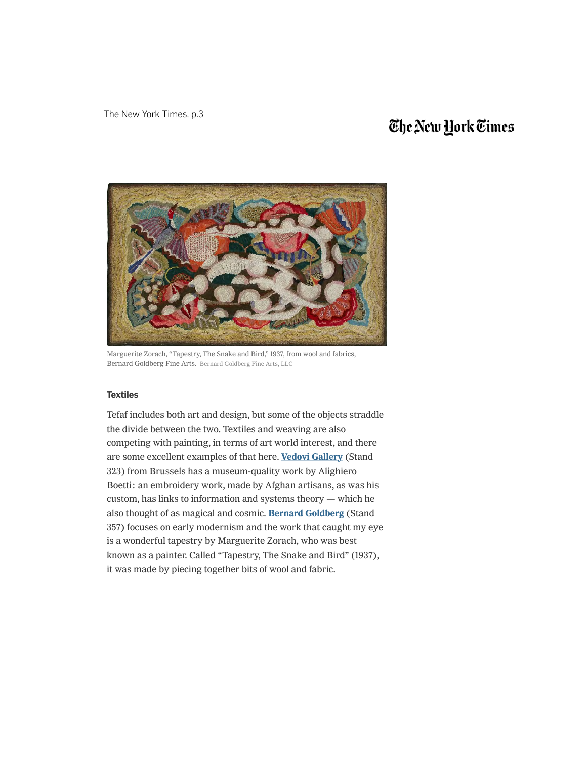# The New York Times



Marguerite Zorach, "Tapestry, The Snake and Bird," 1937, from wool and fabrics, Bernard Goldberg Fine Arts. Bernard Goldberg Fine Arts, LLC

### **Textiles**

Tefaf includes both art and design, but some of the objects straddle the divide between the two. Textiles and weaving are also competing with painting, in terms of art world interest, and there are some excellent examples of that here. Vedovi Gallery (Stand 323) from Brussels has a museum-quality work by Alighiero Boetti: an embroidery work, made by Afghan artisans, as was his custom, has links to information and systems theory — which he also thought of as magical and cosmic. Bernard Goldberg (Stand 357) focuses on early modernism and the work that caught my eye is a wonderful tapestry by Marguerite Zorach, who was best known as a painter. Called "Tapestry, The Snake and Bird" (1937), it was made by piecing together bits of wool and fabric.